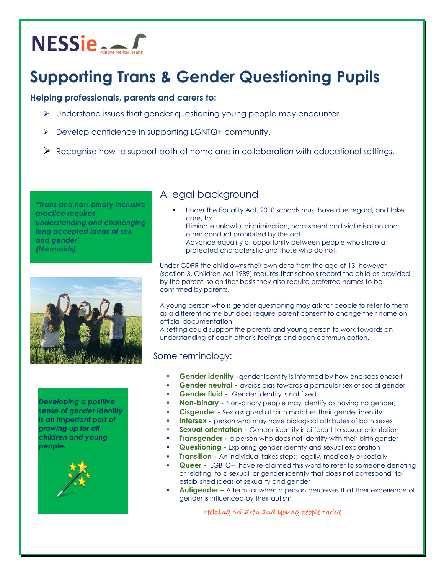

# **Supporting Trans & Gender Questioning Pupils**

#### **Helping professionals, parents and carers to:**

- $\triangleright$  Understand issues that gender questioning young people may encounter.
- $\triangleright$  Develop confidence in supporting LGNTQ+ community.
- $\triangleright$  Recognise how to support both at home and in collaboration with educational settings.

*"Trans and non-binary inclusive practice requires understanding and challenging long accepted ideas of sex and gender" (Mermaids)*



*Developing a positive sense of gender identity is an important part of growing up for all children and young people.*



## A legal background

- Under the Equality Act, 2010 schools must have due regard, and take care, to:
	- Eliminate unlawful discrimination, harassment and victimisation and other conduct prohibited by the act.
	- Advance equality of opportunity between people who share a protected characteristic and those who do not.

Under GDPR the child owns their own data from the age of 13, however, (section 3, Children Act 1989) requires that schools record the child as provided by the parent, so on that basis they also require preferred names to be confirmed by parents.

A young person who is gender questioning may ask for people to refer to them as a different name but does require parent consent to change their name on official documentation.

A setting could support the parents and young person to work towards an understanding of each other's feelings and open communication.

#### Some terminology:

- **Gender identity -**gender identity is informed by how one sees oneself
- **Gender neutral -** avoids bias towards a particular sex of social gender
- **Gender fluid** Gender identity is not fixed
- **Non-binary -** Non-binary people may identify as having no gender,
- **Cisgender -** Sex assigned at birth matches their gender identity.
- **Intersex -** person who may have biological attributes of both sexes
- **Sexual orientation -** Gender identity is different to sexual orientation
- **Transgender -** a person who does not identify with their birth gender
- **Questioning -** Exploring gender identity and sexual exploration
- **Transition -** An individual takes steps; legally, medically or socially
- **Queer -** LGBTQ+ have re-claimed this word to refer to someone denoting or relating to a sexual, or gender identity that does not correspond to established ideas of sexuality and gender
- **Autigender –** A term for when a person perceives that their experience of gender is influenced by their autism

Helping children and young people thrive